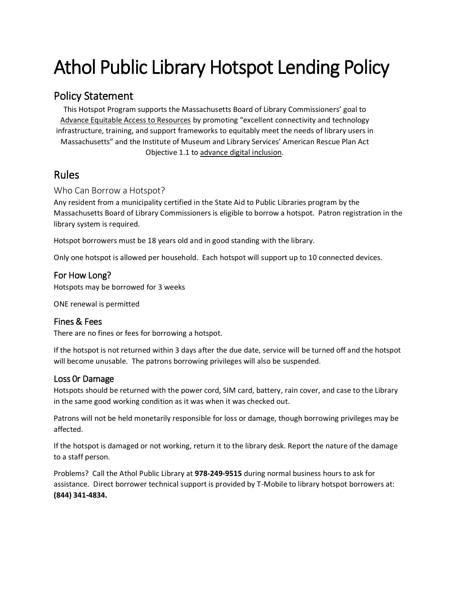# Athol Public Library Hotspot Lending Policy

## Policy Statement

This Hotspot Program supports the Massachusetts Board of Library Commissioners' goal to [Advance Equitable Access to Resources](https://mblc.state.ma.us/about-us/strategic-plan) by promoting "excellent connectivity and technology infrastructure, training, and support frameworks to equitably meet the needs of library users in Massachusetts" and the Institute of Museum and Library Services' American Rescue Plan Act Objective 1.1 to [advance digital inclusion.](https://www.imls.gov/sites/default/files/2021-05/fy21-arp-nofo.pdf)

## Rules

#### Who Can Borrow a Hotspot?

Any resident from a municipality certified in the State Aid to Public Libraries program by the Massachusetts Board of Library Commissioners is eligible to borrow a hotspot. Patron registration in the library system is required.

Hotspot borrowers must be 18 years old and in good standing with the library.

Only one hotspot is allowed per household. Each hotspot will support up to 10 connected devices.

#### For How Long?

Hotspots may be borrowed for 3 weeks

ONE renewal is permitted

#### Fines & Fees

There are no fines or fees for borrowing a hotspot.

If the hotspot is not returned within 3 days after the due date, service will be turned off and the hotspot will become unusable. The patrons borrowing privileges will also be suspended.

#### Loss 0r Damage

Hotspots should be returned with the power cord, SIM card, battery, rain cover, and case to the Library in the same good working condition as it was when it was checked out.

Patrons will not be held monetarily responsible for loss or damage, though borrowing privileges may be affected.

If the hotspot is damaged or not working, return it to the library desk. Report the nature of the damage to a staff person.

Problems? Call the Athol Public Library at **978-249-9515** during normal business hours to ask for assistance. Direct borrower technical support is provided by T-Mobile to library hotspot borrowers at: **(844) 341-4834.**